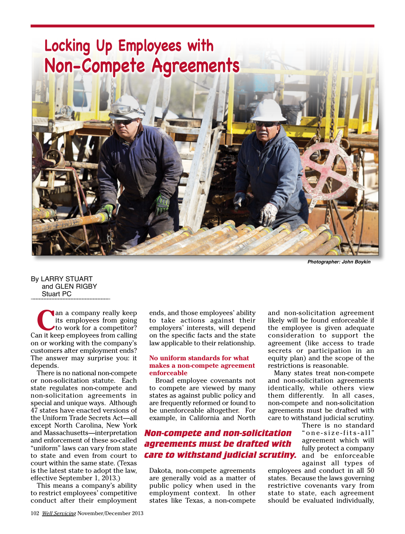

*Photographer: John Boykin*

By LARRY STUART and GLEN RIGBY Stuart PC

an a company really keep<br>
its employees from going<br>
to work for a competitor? its employees from going Can it keep employees from calling on or working with the company's customers after employment ends? The answer may surprise you: it depends.

There is no national non-compete or non-solicitation statute. Each state regulates non-compete and non-solicitation agreements in special and unique ways. Although 47 states have enacted versions of the Uniform Trade Secrets Act—all except North Carolina, New York and Massachusetts—interpretation and enforcement of these so-called "uniform" laws can vary from state to state and even from court to court within the same state. (Texas is the latest state to adopt the law, effective September 1, 2013.)

This means a company's ability to restrict employees' competitive conduct after their employment

ends, and those employees' ability to take actions against their employers' interests, will depend on the specific facts and the state law applicable to their relationship.

### **No uniform standards for what makes a non-compete agreement enforceable**

Broad employee covenants not to compete are viewed by many states as against public policy and are frequently reformed or found to be unenforceable altogether. For example, in California and North

# *Non-compete and non-solicitation agreements must be drafted with care to withstand judicial scrutiny.*

Dakota, non-compete agreements are generally void as a matter of public policy when used in the employment context. In other states like Texas, a non-compete

and non-solicitation agreement likely will be found enforceable if the employee is given adequate consideration to support the agreement (like access to trade secrets or participation in an equity plan) and the scope of the restrictions is reasonable.

Many states treat non-compete and non-solicitation agreements identically, while others view them differently. In all cases, non-compete and non-solicitation agreements must be drafted with care to withstand judicial scrutiny.

There is no standard " o n e - s i z e - f i t s - a l l " agreement which will fully protect a company and be enforceable against all types of

employees and conduct in all 50 states. Because the laws governing restrictive covenants vary from state to state, each agreement should be evaluated individually,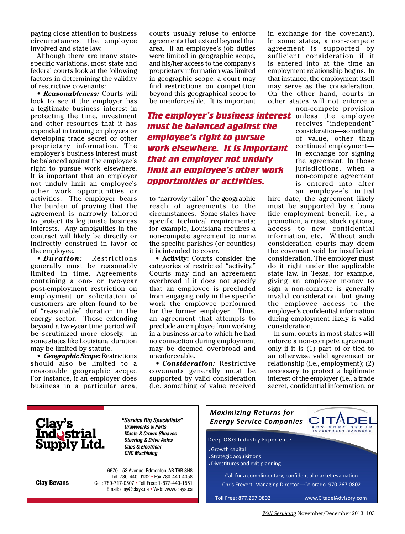paying close attention to business circumstances, the employee involved and state law.

Although there are many statespecific variations, most state and federal courts look at the following factors in determining the validity of restrictive covenants:

*• Reasonableness:* Courts will look to see if the employer has a legitimate business interest in protecting the time, investment and other resources that it has expended in training employees or developing trade secret or other proprietary information. The employer's business interest must be balanced against the employee's right to pursue work elsewhere. It is important that an employer not unduly limit an employee's other work opportunities or activities. The employer bears the burden of proving that the the burden of proving that the the<br>agreement is narrowly tailored cir to protect its legitimate business interests. Any ambiguities in the contract will likely be directly or indirectly construed in favor of the employee.

*• Duration:* Restrictions • *Duration:* Restrictions<br>generally must be reasonably limited in time. Agreements containing a one- or two-year post-employment restriction on employment or solicitation of customers are often found to be eductioners are often found to be work the employee performed to be of "reasonable" duration in the for the former employer. Thus, energy sector. Those extending an agreeme beyond a two-year time period will be scrutinized more closely. In in a business area to which he had In s some states like Louisiana, duration on connection during employment en may be limited by statute.

*• Geographic Scope:* Restrictions should also be limited to a reasonable geographic scope. For instance, if an employer does business in a particular area,

courts usually refuse to enforce agreements that extend beyond that area. If an employee's job duties were limited in geographic scope, and his/her access to the company's proprietary information was limited in geographic scope, a court may find restrictions on competition beyond this geographical scope to be unenforceable. It is important

*The employer's business interest* unless the employee *must be balanced against the employee's right to pursue work elsewhere. It is important that an employer not unduly limit an employee's other work opportunities or activities.*  loyee's **culat an employer not unuury<br>where. <b>Timit an employee's other work**<br>loyee's **connortunities or activities.** 

> to "narrowly tailor" the geographic hire reach of agreements to the reach or agreements to the<br>circumstances. Some states have specific technical requirements; for example, Louisiana requires a non-compete agreement to name the specific parishes (or counties) it is intended to cover.

**• Activity:** Courts consider the categories of restricted "activity." Courts may find an agreement overbroad if it does not specify that an employee is precluded from engaging only in the specific work the employee performed for the former employer. Thus, an agreement that attempts to preclude an employee from working in a business area to which he had no connection during employment may be deemed overbroad and unenforceable.

*• Consideration:* Restrictive covenants generally must be supported by valid consideration (i.e. something of value received in exchange for the covenant). In some states, a non-compete agreement is supported by sufficient consideration if it is entered into at the time an employment relationship begins. In that instance, the employment itself may serve as the consideration. On the other hand, courts in other states will not enforce a

non-compete provision receives "independent" consideration—something of value, other than continued employment in exchange for signing the agreement. In those jurisdictions, when a non-compete agreement is entered into after an employee's initial

hire date, the agreement likely must be supported by a bona fide employment benefit, i.e., a promotion, a raise, stock options, access to new confidential information, etc. Without such consideration courts may deem the covenant void for insufficient consideration. The employer must do it right under the applicable state law. In Texas, for example, giving an employee money to sign a non-compete is generally invalid consideration, but giving the employee access to the employer's confidential information during employment likely is valid consideration.

In sum, courts in most states will enforce a non-compete agreement only if it is (1) part of or tied to an otherwise valid agreement or relationship (i.e., employment); (2) necessary to protect a legitimate interest of the employer (i.e., a trade secret, confidential information, or

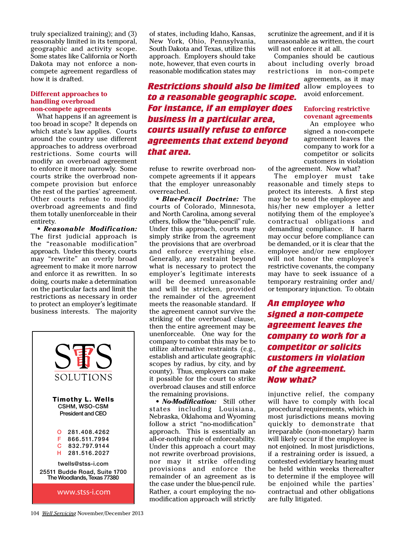truly specialized training); and (3) reasonably limited in its temporal, geographic and activity scope. Some states like California or North Dakota may not enforce a noncompete agreement regardless of how it is drafted.

### **Different approaches to handling overbroad non-compete agreements**

What happens if an agreement is too broad in scope? It depends on which state's law applies. Courts around the country use different approaches to address overbroad restrictions. Some courts will modify an overbroad agreement to enforce it more narrowly. Some courts strike the overbroad noncompete provision but enforce the rest of the parties' agreement. Other courts refuse to modify overbroad agreements and find them totally unenforceable in their entirety.

*• Reasonable Modification:*  The first judicial approach is the "reasonable modification" approach. Under this theory, courts may "rewrite" an overly broad agreement to make it more narrow and enforce it as rewritten. In so doing, courts make a determination on the particular facts and limit the restrictions as necessary in order to protect an employer's legitimate business interests. The majority



of states, including Idaho, Kansas, New York, Ohio, Pennsylvania, South Dakota and Texas, utilize this approach. Employers should take note, however, that even courts in reasonable modification states may

**Restrictions should also be limited** allow employees to *to a reasonable geographic scope. For instance, if an employer does business in a particular area, courts usually refuse to enforce agreements that extend beyond that area.* 

refuse to rewrite overbroad noncompete agreements if it appears that the employer unreasonably overreached.

*• Blue-Pencil Doctrine:* The courts of Colorado, Minnesota, and North Carolina, among several others, follow the "blue-pencil" rule. Under this approach, courts may simply strike from the agreement the provisions that are overbroad and enforce everything else. Generally, any restraint beyond what is necessary to protect the employer's legitimate interests will be deemed unreasonable and will be stricken, provided the remainder of the agreement meets the reasonable standard. If the agreement cannot survive the striking of the overbroad clause, then the entire agreement may be unenforceable. One way for the company to combat this may be to utilize alternative restraints (e.g., establish and articulate geographic scopes by radius, by city, and by county). Thus, employers can make it possible for the court to strike overbroad clauses and still enforce the remaining provisions.

*• No-Modification:* Still other states including Louisiana, Nebraska, Oklahoma and Wyoming follow a strict "no-modification" approach. This is essentially an all-or-nothing rule of enforceability. Under this approach a court may not rewrite overbroad provisions, nor may it strike offending provisions and enforce the remainder of an agreement as is the case under the blue-pencil rule. Rather, a court employing the nomodification approach will strictly

scrutinize the agreement, and if it is unreasonable as written, the court will not enforce it at all.

Companies should be cautious about including overly broad restrictions in non-compete

agreements, as it may avoid enforcement.

## **Enforcing restrictive covenant agreements**

An employee who signed a non-compete agreement leaves the company to work for a competitor or solicits customers in violation

of the agreement. Now what?

The employer must take reasonable and timely steps to protect its interests. A first step may be to send the employee and his/her new employer a letter notifying them of the employee's contractual obligations and demanding compliance. If harm may occur before compliance can be demanded, or it is clear that the employee and/or new employer will not honor the employee's restrictive covenants, the company may have to seek issuance of a temporary restraining order and/ or temporary injunction. To obtain

*An employee who signed a non-compete agreement leaves the company to work for a competitor or solicits customers in violation of the agreement. Now what?*

injunctive relief, the company will have to comply with local procedural requirements, which in most jurisdictions means moving quickly to demonstrate that irreparable (non-monetary) harm will likely occur if the employee is not enjoined. In most jurisdictions, if a restraining order is issued, a contested evidentiary hearing must be held within weeks thereafter to determine if the employee will be enjoined while the parties' contractual and other obligations are fully litigated.